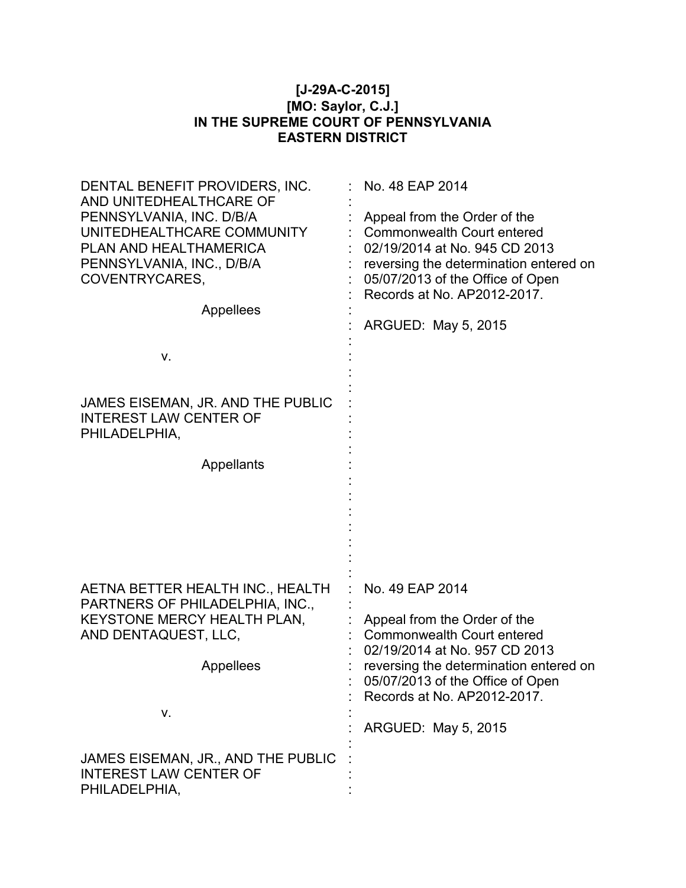## **[J-29A-C-2015] [MO: Saylor, C.J.] IN THE SUPREME COURT OF PENNSYLVANIA EASTERN DISTRICT**

| DENTAL BENEFIT PROVIDERS, INC.<br>AND UNITEDHEALTHCARE OF<br>PENNSYLVANIA, INC. D/B/A<br>UNITEDHEALTHCARE COMMUNITY<br>PLAN AND HEALTHAMERICA<br>PENNSYLVANIA, INC., D/B/A<br>COVENTRYCARES,<br>Appellees<br>ν. | No. 48 EAP 2014<br>Appeal from the Order of the<br>Commonwealth Court entered<br>02/19/2014 at No. 945 CD 2013<br>reversing the determination entered on<br>05/07/2013 of the Office of Open<br>Records at No. AP2012-2017.<br>ARGUED: May 5, 2015        |
|-----------------------------------------------------------------------------------------------------------------------------------------------------------------------------------------------------------------|-----------------------------------------------------------------------------------------------------------------------------------------------------------------------------------------------------------------------------------------------------------|
|                                                                                                                                                                                                                 |                                                                                                                                                                                                                                                           |
| JAMES EISEMAN, JR. AND THE PUBLIC<br><b>INTEREST LAW CENTER OF</b><br>PHILADELPHIA,<br><b>Appellants</b>                                                                                                        |                                                                                                                                                                                                                                                           |
| AETNA BETTER HEALTH INC., HEALTH<br>PARTNERS OF PHILADELPHIA, INC.,<br>KEYSTONE MERCY HEALTH PLAN,<br>AND DENTAQUEST, LLC,<br>Appellees<br>V.                                                                   | No. 49 EAP 2014<br>Appeal from the Order of the<br><b>Commonwealth Court entered</b><br>02/19/2014 at No. 957 CD 2013<br>reversing the determination entered on<br>05/07/2013 of the Office of Open<br>Records at No. AP2012-2017.<br>ARGUED: May 5, 2015 |
| JAMES EISEMAN, JR., AND THE PUBLIC<br><b>INTEREST LAW CENTER OF</b><br>PHILADELPHIA,                                                                                                                            |                                                                                                                                                                                                                                                           |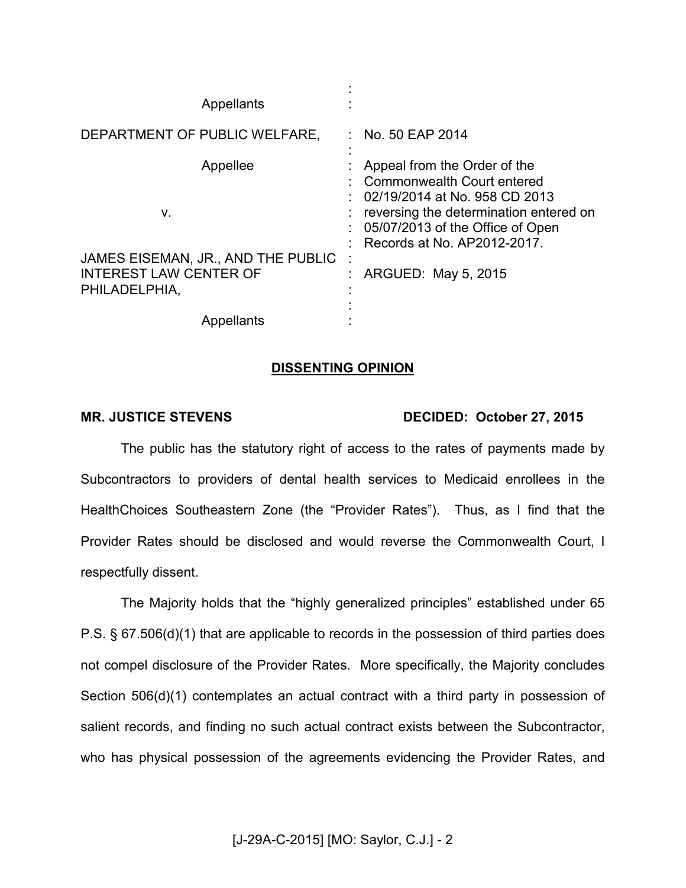| Appellants<br>DEPARTMENT OF PUBLIC WELFARE,                                          | $\therefore$ No. 50 EAP 2014                                                                                                                                                                                           |
|--------------------------------------------------------------------------------------|------------------------------------------------------------------------------------------------------------------------------------------------------------------------------------------------------------------------|
| Appellee<br>v.                                                                       | Appeal from the Order of the<br>Commonwealth Court entered<br>$\frac{1}{2}$ 02/19/2014 at No. 958 CD 2013<br>reversing the determination entered on<br>05/07/2013 of the Office of Open<br>Records at No. AP2012-2017. |
| JAMES EISEMAN, JR., AND THE PUBLIC<br><b>INTEREST LAW CENTER OF</b><br>PHILADELPHIA, | ARGUED: May 5, 2015                                                                                                                                                                                                    |
| Appellants                                                                           |                                                                                                                                                                                                                        |

## **DISSENTING OPINION**

## MR. JUSTICE STEVENS DECIDED: October 27, 2015

The public has the statutory right of access to the rates of payments made by Subcontractors to providers of dental health services to Medicaid enrollees in the HealthChoices Southeastern Zone (the "Provider Rates"). Thus, as I find that the Provider Rates should be disclosed and would reverse the Commonwealth Court, I respectfully dissent.

The Majority holds that the "highly generalized principles" established under 65 P.S. § 67.506(d)(1) that are applicable to records in the possession of third parties does not compel disclosure of the Provider Rates. More specifically, the Majority concludes Section 506(d)(1) contemplates an actual contract with a third party in possession of salient records, and finding no such actual contract exists between the Subcontractor, who has physical possession of the agreements evidencing the Provider Rates, and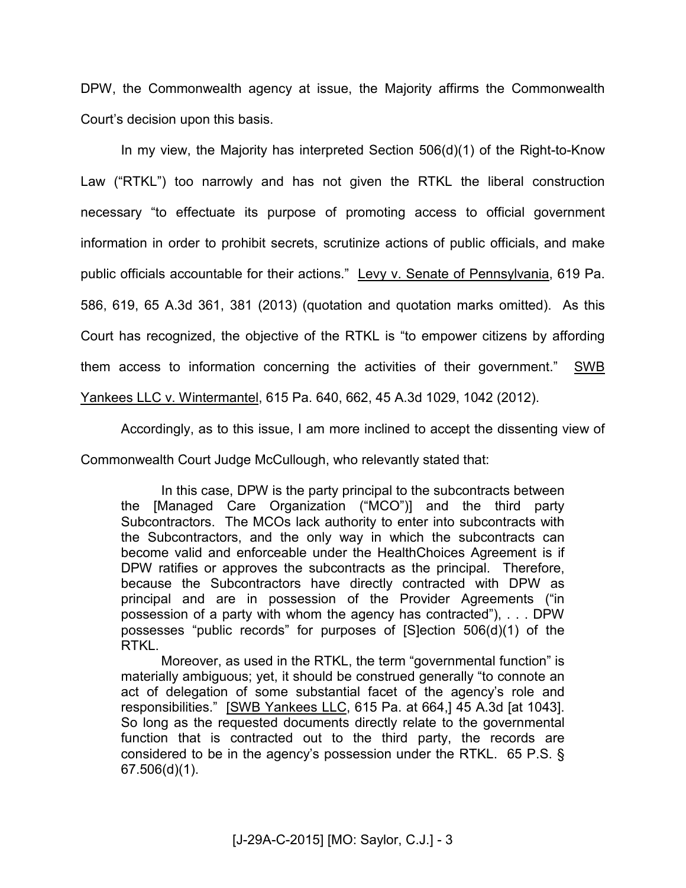DPW, the Commonwealth agency at issue, the Majority affirms the Commonwealth Court's decision upon this basis.

In my view, the Majority has interpreted Section 506(d)(1) of the Right-to-Know Law ("RTKL") too narrowly and has not given the RTKL the liberal construction necessary "to effectuate its purpose of promoting access to official government information in order to prohibit secrets, scrutinize actions of public officials, and make public officials accountable for their actions." Levy v. Senate of Pennsylvania, 619 Pa. 586, 619, 65 A.3d 361, 381 (2013) (quotation and quotation marks omitted). As this Court has recognized, the objective of the RTKL is "to empower citizens by affording them access to information concerning the activities of their government." SWB Yankees LLC v. Wintermantel, 615 Pa. 640, 662, 45 A.3d 1029, 1042 (2012).

Accordingly, as to this issue, I am more inclined to accept the dissenting view of Commonwealth Court Judge McCullough, who relevantly stated that:

In this case, DPW is the party principal to the subcontracts between the [Managed Care Organization ("MCO")] and the third party Subcontractors. The MCOs lack authority to enter into subcontracts with the Subcontractors, and the only way in which the subcontracts can become valid and enforceable under the HealthChoices Agreement is if DPW ratifies or approves the subcontracts as the principal. Therefore, because the Subcontractors have directly contracted with DPW as principal and are in possession of the Provider Agreements ("in possession of a party with whom the agency has contracted"), . . . DPW possesses "public records" for purposes of [S]ection 506(d)(1) of the RTKL.

Moreover, as used in the RTKL, the term "governmental function" is materially ambiguous; yet, it should be construed generally "to connote an act of delegation of some substantial facet of the agency's role and responsibilities." [SWB Yankees LLC, 615 Pa. at 664,] 45 A.3d [at 1043]. So long as the requested documents directly relate to the governmental function that is contracted out to the third party, the records are considered to be in the agency's possession under the RTKL. 65 P.S. § 67.506(d)(1).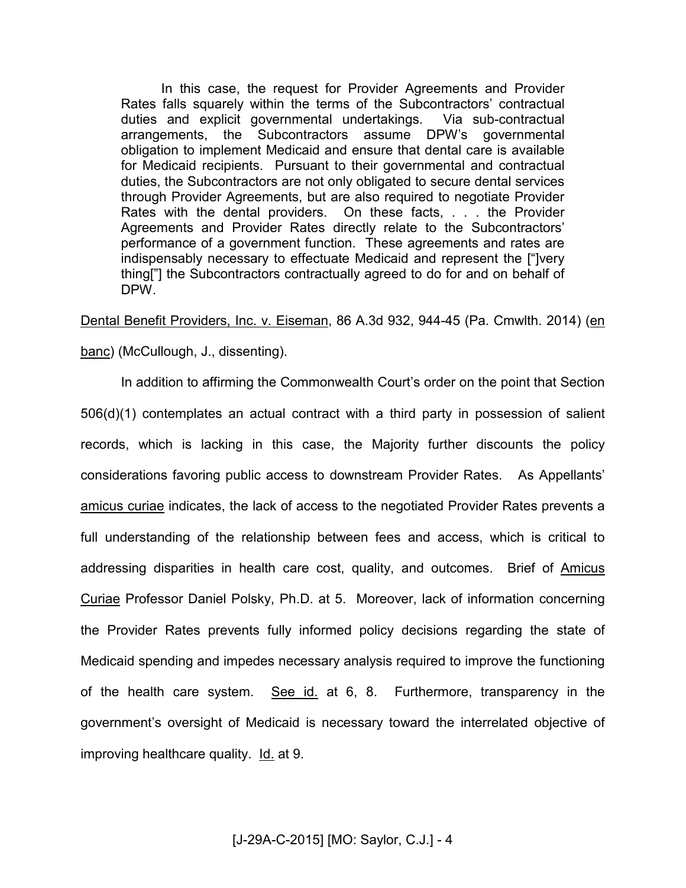In this case, the request for Provider Agreements and Provider Rates falls squarely within the terms of the Subcontractors' contractual duties and explicit governmental undertakings. Via sub-contractual arrangements, the Subcontractors assume DPW's governmental obligation to implement Medicaid and ensure that dental care is available for Medicaid recipients. Pursuant to their governmental and contractual duties, the Subcontractors are not only obligated to secure dental services through Provider Agreements, but are also required to negotiate Provider Rates with the dental providers. On these facts, . . . the Provider Agreements and Provider Rates directly relate to the Subcontractors' performance of a government function. These agreements and rates are indispensably necessary to effectuate Medicaid and represent the ["]very thing["] the Subcontractors contractually agreed to do for and on behalf of DPW.

Dental Benefit Providers, Inc. v. Eiseman, 86 A.3d 932, 944-45 (Pa. Cmwlth. 2014) (en

banc) (McCullough, J., dissenting).

In addition to affirming the Commonwealth Court's order on the point that Section 506(d)(1) contemplates an actual contract with a third party in possession of salient records, which is lacking in this case, the Majority further discounts the policy considerations favoring public access to downstream Provider Rates. As Appellants' amicus curiae indicates, the lack of access to the negotiated Provider Rates prevents a full understanding of the relationship between fees and access, which is critical to addressing disparities in health care cost, quality, and outcomes. Brief of Amicus Curiae Professor Daniel Polsky, Ph.D. at 5. Moreover, lack of information concerning the Provider Rates prevents fully informed policy decisions regarding the state of Medicaid spending and impedes necessary analysis required to improve the functioning of the health care system. See id. at 6, 8. Furthermore, transparency in the government's oversight of Medicaid is necessary toward the interrelated objective of improving healthcare quality. Id. at 9.